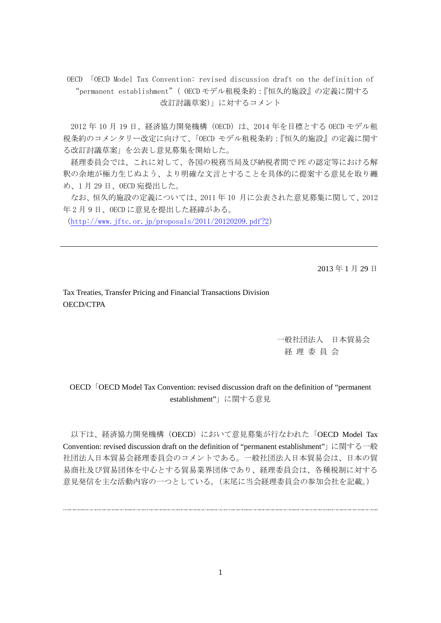OECD 「OECD Model Tax Convention: revised discussion draft on the definition of "permanent establishment"( OECD モデル租税条約:『恒久的施設』の定義に関する 改訂討議草案)」に対するコメント

2012 年 10 月 19 日、経済協力開発機構(OECD)は、2014 年を目標とする OECD モデル租 税条約のコメンタリー改定に向けて、「OECD モデル租税条約:『恒久的施設』の定義に関す る改訂討議草案」を公表し意見募集を開始した。

経理委員会では、これに対して、各国の税務当局及び納税者間で PE の認定等における解 釈の余地が極力生じぬよう、より明確な文言とすることを具体的に提案する意見を取り纏 め、1 月 29 日、OECD 宛提出した。

なお、恒久的施設の定義については、2011 年 10 月に公表された意見募集に関して、2012 年 2 月 9 日、OECD に意見を提出した経緯がある。

(http://www.jftc.or.jp/proposals/2011/20120209.pdf?2)

2013 年 1 月 29 日

Tax Treaties, Transfer Pricing and Financial Transactions Division OECD/CTPA

> 一般社団法人 日本貿易会 経 理 委 員 会

OECD | OECD Model Tax Convention: revised discussion draft on the definition of "permanent establishment"」に関する意見

以下は、経済協力開発機構 (OECD)において意見募集が行なわれた「OECD Model Tax Convention: revised discussion draft on the definition of "permanent establishment"」に関する一般 社団法人日本貿易会経理委員会のコメントである。一般社団法人日本貿易会は、日本の貿 易商社及び貿易団体を中心とする貿易業界団体であり、経理委員会は、各種税制に対する 意見発信を主な活動内容の一つとしている。(末尾に当会経理委員会の参加会社を記載。)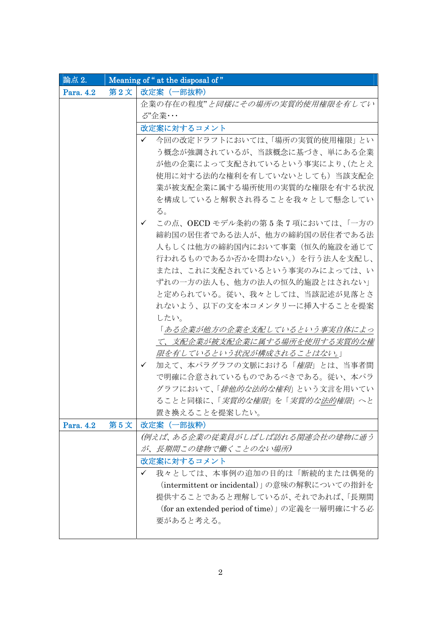| 論点 2.     |     | Meaning of " at the disposal of"                |  |
|-----------|-----|-------------------------------------------------|--|
| Para. 4.2 | 第2文 | 改定案 (一部抜粋)                                      |  |
|           |     | 企業の存在の程度"と同様にその場所の実質的使用権限を有してい                  |  |
|           |     | ♂"企業・・・                                         |  |
|           |     | 改定案に対するコメント                                     |  |
|           |     | 今回の改定ドラフトにおいては、「場所の実質的使用権限」とい<br>✓              |  |
|           |     | う概念が強調されているが、当該概念に基づき、単にある企業                    |  |
|           |     | が他の企業によって支配されているという事実により、(たとえ                   |  |
|           |     | 使用に対する法的な権利を有していないとしても)当該支配企                    |  |
|           |     | 業が被支配企業に属する場所使用の実質的な権限を有する状況                    |  |
|           |     | を構成していると解釈され得ることを我々として懸念してい                     |  |
|           |     | る。                                              |  |
|           |     | この点、OECDモデル条約の第5条7項においては、「一方の<br>✓              |  |
|           |     | 締約国の居住者である法人が、他方の締約国の居住者である法                    |  |
|           |     | 人もしくは他方の締約国内において事業(恒久的施設を通じて                    |  |
|           |     | 行われるものであるか否かを問わない。)を行う法人を支配し、                   |  |
|           |     | または、これに支配されているという事実のみによっては、い                    |  |
|           |     | ずれの一方の法人も、他方の法人の恒久的施設とはされない」                    |  |
|           |     | と定められている。従い、我々としては、当該記述が見落とさ                    |  |
|           |     | れないよう、以下の文を本コメンタリーに挿入することを提案                    |  |
|           |     | したい。                                            |  |
|           |     | 「ある企業が他方の企業を支配しているという事実自体によっ                    |  |
|           |     | て、支配企業が被支配企業に属する場所を使用する実質的な権                    |  |
|           |     | 限を有しているという状況が構成されることはない。」                       |  |
|           |     | 加えて、本パラグラフの文脈における「 <i>権限</i> 」とは、当事者間<br>✓      |  |
|           |     | で明確に合意されているものであるべきである。従い、本パラ                    |  |
|           |     | グラフにおいて、「 <i>排他的な法的な権利</i> 」という文言を用いてい          |  |
|           |     | ることと同様に、「 <i>実質的な権限</i> 」を「 <i>実質的な法的権限</i> 」へと |  |
|           |     | 置き換えることを提案したい。                                  |  |
| Para. 4.2 | 第5文 | 改定案 (一部抜粋)                                      |  |
|           |     | (例えば、ある企業の従業員がしばしば訪れる関連会社の建物に通う                 |  |
|           |     | が、長期間この建物で働くことのない場所)                            |  |
|           |     | 改定案に対するコメント                                     |  |
|           |     | 我々としては、本事例の追加の目的は「断続的または偶発的<br>✓                |  |
|           |     | (intermittent or incidental)」の意味の解釈についての指針を     |  |
|           |     | 提供することであると理解しているが、それであれば、「長期間                   |  |
|           |     | (for an extended period of time)」の定義を一層明確にする必   |  |
|           |     | 要があると考える。                                       |  |
|           |     |                                                 |  |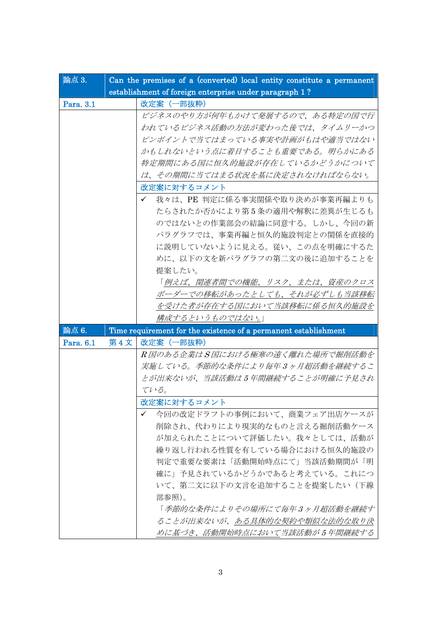| 論点 3.     |     | Can the premises of a (converted) local entity constitute a permanent |
|-----------|-----|-----------------------------------------------------------------------|
|           |     | establishment of foreign enterprise under paragraph 1?                |
| Para. 3.1 |     | 改定案 (一部抜粋)                                                            |
|           |     | ビジネスのやり方が何年もかけて発展するので、ある特定の国で行                                        |
|           |     | われているビジネス活動の方法が変わった後では、タイムリーかつ                                        |
|           |     | ピンポイントで当てはまっている事実や計画がもはや適当ではない                                        |
|           |     | かもしれないという点に着目することも重要である。明らかにある                                        |
|           |     | 特定期間にある国に恒久的施設が存在しているかどうかについて                                         |
|           |     | は、その期間に当てはまる状況を基に決定されなければならない。                                        |
|           |     | 改定案に対するコメント                                                           |
|           |     | 我々は、PE 判定に係る事実関係や取り決めが事業再編よりも<br>$\checkmark$                         |
|           |     | たらされたか否かにより第5条の適用や解釈に差異が生じるも                                          |
|           |     | のではないとの作業部会の結論に同意する。しかし、今回の新                                          |
|           |     | パラグラフでは、事業再編と恒久的施設判定との関係を直接的                                          |
|           |     | に説明していないように見える。従い、この点を明確にするた                                          |
|           |     | めに、以下の文を新パラグラフの第二文の後に追加することを                                          |
|           |     | 提案したい。                                                                |
|           |     | 「例えば、関連者間での機能、リスク、または、資産のクロス                                          |
|           |     | ボーダーでの移転があったとしても、それが必ずしも当該移転                                          |
|           |     | を受けた者が存在する国において当該移転に係る恒久的施設を                                          |
|           |     | <u>構成するというものではない。</u> 」                                               |
| 論点 6.     |     | Time requirement for the existence of a permanent establishment       |
| Para. 6.1 | 第4文 | 改定案 (一部抜粋)                                                            |
|           |     | R国のある企業はS国における極寒の遠く離れた場所で掘削活動を                                        |
|           |     | 実施している。季節的な条件により毎年3ヶ月超活動を継続するこ                                        |
|           |     | とが出来ないが、当該活動は5年間継続することが明確に予見され                                        |
|           |     | ている。                                                                  |
|           |     | 改定案に対するコメント                                                           |
|           |     | 今回の改定ドラフトの事例において、商業フェア出店ケースが<br>✓                                     |
|           |     | 削除され、代わりにより現実的なものと言える掘削活動ケース                                          |
|           |     | が加えられたことについて評価したい。我々としては、活動が                                          |
|           |     | 繰り返し行われる性質を有している場合における恒久的施設の                                          |
|           |     | 判定で重要な要素は「活動開始時点にて」当該活動期間が「明                                          |
|           |     | 確に」予見されているかどうかであると考えている。これにつ                                          |
|           |     | いて、第二文に以下の文言を追加することを提案したい(下線                                          |
|           |     | 部参照)。                                                                 |
|           |     | 「季節的な条件によりその場所にて毎年3ヶ月超活動を継続す                                          |
|           |     | ることが出来ないが、ある具体的な契約や類似な法的な取り決                                          |
|           |     | めに基づき、活動開始時点において当該活動が5年間継続する                                          |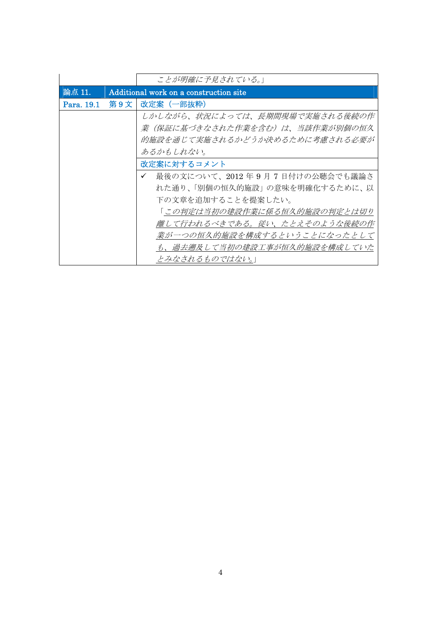|            |     | ことが明確に予見されている。」                               |
|------------|-----|-----------------------------------------------|
| 論点 11.     |     | Additional work on a construction site        |
| Para. 19.1 | 第9文 | 改定案 (一部抜粋)                                    |
|            |     | しかしながら、状況によっては、長期間現場で実施される後続の作                |
|            |     | 業(保証に基づきなされた作業を含む)は、当該作業が別個の恒久                |
|            |     | 的施設を通じて実施されるかどうか決めるために考慮される必要が                |
|            |     | あるかもしれない。                                     |
|            |     | 改定案に対するコメント                                   |
|            |     | 最後の文について、2012年9月7日付けの公聴会でも議論さ<br>$\checkmark$ |
|            |     | れた通り、「別個の恒久的施設」の意味を明確化するために、以                 |
|            |     | 下の文章を追加することを提案したい。                            |
|            |     | 「この判定は当初の建設作業に係る恒久的施設の判定とは切り                  |
|            |     | 離して行われるべきである。従い、たとえそのような後続の作                  |
|            |     | 業が一つの恒久的施設を構成するということになったとして                   |
|            |     | も、過去遡及して当初の建設工事が恒久的施設を構成していた                  |
|            |     | とみなされるものではない。」                                |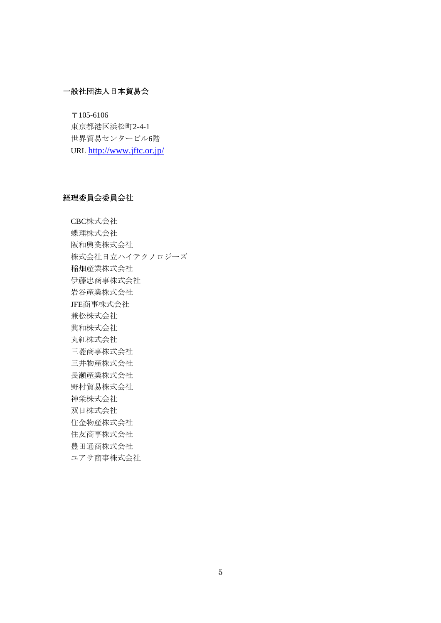# 一般社団法人日本貿易会

 $\overline{\tau}$ 105-6106 東京都港区浜松町2-4-1 世界貿易センタービル6階 URL http://www.jftc.or.jp/

## 経理委員会委員会社

CBC株式会社 蝶理株式会社 阪和興業株式会社 株式会社日立ハイテクノロジーズ 稲畑産業株式会社 伊藤忠商事株式会社 岩谷産業株式会社 JFE商事株式会社 兼松株式会社 興和株式会社 丸紅株式会社 三菱商事株式会社 三井物産株式会社 長瀬産業株式会社 野村貿易株式会社 神栄株式会社 双日株式会社 住金物産株式会社 住友商事株式会社 豊田通商株式会社 ユアサ商事株式会社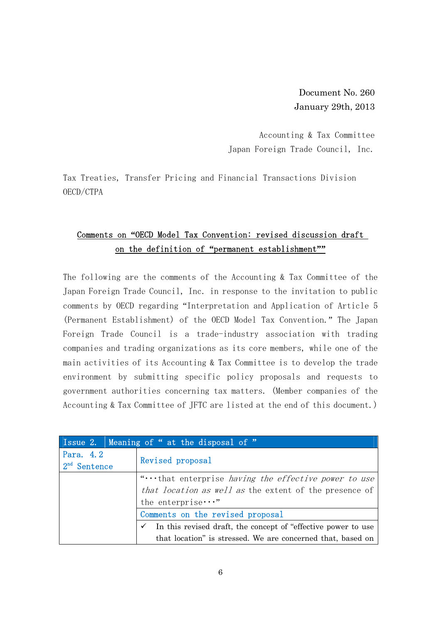Document No. 260 January 29th, 2013

Accounting & Tax Committee Japan Foreign Trade Council, Inc.

Tax Treaties, Transfer Pricing and Financial Transactions Division OECD/CTPA

# Comments on **"**OECD Model Tax Convention: revised discussion draft on the definition of **"**permanent establishment**""**

The following are the comments of the Accounting & Tax Committee of the Japan Foreign Trade Council, Inc. in response to the invitation to public comments by OECD regarding "Interpretation and Application of Article 5 (Permanent Establishment) of the OECD Model Tax Convention." The Japan Foreign Trade Council is a trade-industry association with trading companies and trading organizations as its core members, while one of the main activities of its Accounting & Tax Committee is to develop the trade environment by submitting specific policy proposals and requests to government authorities concerning tax matters. (Member companies of the Accounting & Tax Committee of JFTC are listed at the end of this document.)

|                             | Issue 2. Meaning of " at the disposal of "                                    |
|-----------------------------|-------------------------------------------------------------------------------|
| Para, 4.2<br>$2nd$ Sentence | Revised proposal                                                              |
|                             | "that enterprise having the effective power to use                            |
|                             | that location as well as the extent of the presence of                        |
|                             | the enterprise $\cdots$ "                                                     |
|                             | Comments on the revised proposal                                              |
|                             | In this revised draft, the concept of "effective power to use<br>$\checkmark$ |
|                             | that location" is stressed. We are concerned that, based on                   |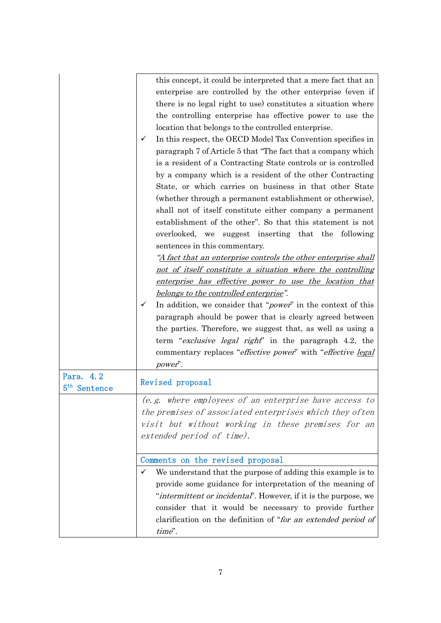|                          | this concept, it could be interpreted that a mere fact that an<br>enterprise are controlled by the other enterprise (even if<br>there is no legal right to use) constitutes a situation where<br>the controlling enterprise has effective power to use the<br>location that belongs to the controlled enterprise.<br>In this respect, the OECD Model Tax Convention specifies in<br>✓<br>paragraph 7 of Article 5 that "The fact that a company which<br>is a resident of a Contracting State controls or is controlled<br>by a company which is a resident of the other Contracting<br>State, or which carries on business in that other State<br>(whether through a permanent establishment or otherwise),<br>shall not of itself constitute either company a permanent<br>establishment of the other". So that this statement is not<br>overlooked, we suggest inserting that the following<br>sentences in this commentary.<br><u>"A fact that an enterprise controls the other enterprise shall</u><br>not of itself constitute a situation where the controlling<br>enterprise has effective power to use the location that<br>belongs to the controlled enterprise".<br>In addition, we consider that " <i>power</i> " in the context of this<br>✓<br>paragraph should be power that is clearly agreed between<br>the parties. Therefore, we suggest that, as well as using a<br>term " <i>exclusive legal right</i> " in the paragraph 4.2, the<br>commentary replaces " <i>effective power</i> " with " <i>effective legal</i> |
|--------------------------|-----------------------------------------------------------------------------------------------------------------------------------------------------------------------------------------------------------------------------------------------------------------------------------------------------------------------------------------------------------------------------------------------------------------------------------------------------------------------------------------------------------------------------------------------------------------------------------------------------------------------------------------------------------------------------------------------------------------------------------------------------------------------------------------------------------------------------------------------------------------------------------------------------------------------------------------------------------------------------------------------------------------------------------------------------------------------------------------------------------------------------------------------------------------------------------------------------------------------------------------------------------------------------------------------------------------------------------------------------------------------------------------------------------------------------------------------------------------------------------------------------------------------------------------|
| Para. 4.2                | power".                                                                                                                                                                                                                                                                                                                                                                                                                                                                                                                                                                                                                                                                                                                                                                                                                                                                                                                                                                                                                                                                                                                                                                                                                                                                                                                                                                                                                                                                                                                                 |
| 5 <sup>th</sup> Sentence | Revised proposal                                                                                                                                                                                                                                                                                                                                                                                                                                                                                                                                                                                                                                                                                                                                                                                                                                                                                                                                                                                                                                                                                                                                                                                                                                                                                                                                                                                                                                                                                                                        |
|                          | (e.g. where employees of an enterprise have access to<br>the premises of associated enterprises which they often<br>visit but without working in these premises for an<br>extended period of time).                                                                                                                                                                                                                                                                                                                                                                                                                                                                                                                                                                                                                                                                                                                                                                                                                                                                                                                                                                                                                                                                                                                                                                                                                                                                                                                                     |
|                          | Comments on the revised proposal                                                                                                                                                                                                                                                                                                                                                                                                                                                                                                                                                                                                                                                                                                                                                                                                                                                                                                                                                                                                                                                                                                                                                                                                                                                                                                                                                                                                                                                                                                        |
|                          | We understand that the purpose of adding this example is to<br>✓<br>provide some guidance for interpretation of the meaning of<br>"intermittent or incidental". However, if it is the purpose, we<br>consider that it would be necessary to provide further<br>clarification on the definition of "for an extended period of<br>time".                                                                                                                                                                                                                                                                                                                                                                                                                                                                                                                                                                                                                                                                                                                                                                                                                                                                                                                                                                                                                                                                                                                                                                                                  |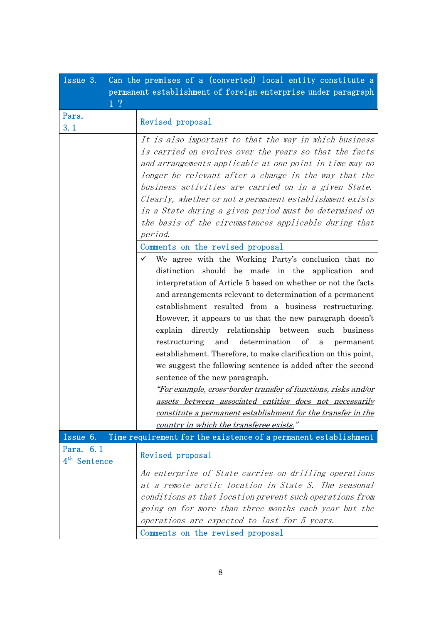| Issue 3.                              |                | Can the premises of a (converted) local entity constitute a                                                                                                                                                                                                                                                                                                                                                                                                                                                                                                                                                                                                                                                                                                                                                                                                                                                                                       |
|---------------------------------------|----------------|---------------------------------------------------------------------------------------------------------------------------------------------------------------------------------------------------------------------------------------------------------------------------------------------------------------------------------------------------------------------------------------------------------------------------------------------------------------------------------------------------------------------------------------------------------------------------------------------------------------------------------------------------------------------------------------------------------------------------------------------------------------------------------------------------------------------------------------------------------------------------------------------------------------------------------------------------|
|                                       |                | permanent establishment of foreign enterprise under paragraph                                                                                                                                                                                                                                                                                                                                                                                                                                                                                                                                                                                                                                                                                                                                                                                                                                                                                     |
|                                       | 1 <sup>2</sup> |                                                                                                                                                                                                                                                                                                                                                                                                                                                                                                                                                                                                                                                                                                                                                                                                                                                                                                                                                   |
| Para.<br>3.1                          |                | Revised proposal                                                                                                                                                                                                                                                                                                                                                                                                                                                                                                                                                                                                                                                                                                                                                                                                                                                                                                                                  |
|                                       |                | It is also important to that the way in which business<br>is carried on evolves over the years so that the facts<br>and arrangements applicable at one point in time may no<br>longer be relevant after a change in the way that the<br>business activities are carried on in a given State.<br>Clearly, whether or not a permanent establishment exists<br>in a State during a given period must be determined on<br>the basis of the circumstances applicable during that<br>period.                                                                                                                                                                                                                                                                                                                                                                                                                                                            |
|                                       |                | Comments on the revised proposal<br>We agree with the Working Party's conclusion that no<br>$\checkmark$<br>distinction should be made in the application and<br>interpretation of Article 5 based on whether or not the facts<br>and arrangements relevant to determination of a permanent<br>establishment resulted from a business restructuring.<br>However, it appears to us that the new paragraph doesn't<br>explain directly relationship between such business<br>and determination<br>of<br>restructuring<br>permanent<br>a<br>establishment. Therefore, to make clarification on this point,<br>we suggest the following sentence is added after the second<br>sentence of the new paragraph.<br>"For example, cross-border transfer of functions, risks and/or<br>assets between associated entities does not necessarily<br>constitute a permanent establishment for the transfer in the<br>country in which the transferee exists." |
| Issue 6.                              |                | Time requirement for the existence of a permanent establishment                                                                                                                                                                                                                                                                                                                                                                                                                                                                                                                                                                                                                                                                                                                                                                                                                                                                                   |
| Para. 6.1<br>4 <sup>th</sup> Sentence |                | Revised proposal                                                                                                                                                                                                                                                                                                                                                                                                                                                                                                                                                                                                                                                                                                                                                                                                                                                                                                                                  |
|                                       |                | An enterprise of State carries on drilling operations<br>at a remote arctic location in State S. The seasonal<br>conditions at that location prevent such operations from<br>going on for more than three months each year but the<br>operations are expected to last for 5 years.<br>Comments on the revised proposal                                                                                                                                                                                                                                                                                                                                                                                                                                                                                                                                                                                                                            |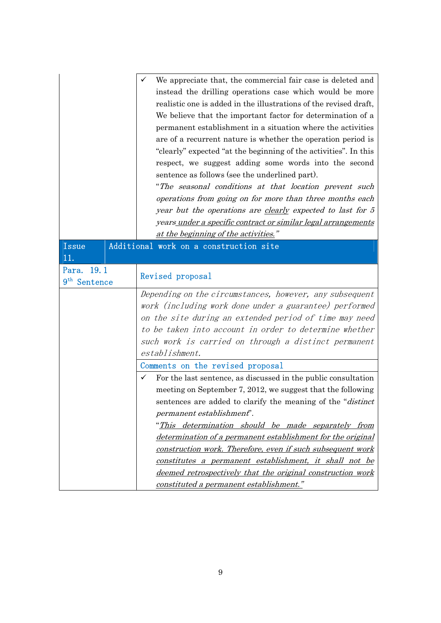|                                        | We appreciate that, the commercial fair case is deleted and<br>instead the drilling operations case which would be more<br>realistic one is added in the illustrations of the revised draft,<br>We believe that the important factor for determination of a<br>permanent establishment in a situation where the activities<br>are of a recurrent nature is whether the operation period is<br>"clearly" expected "at the beginning of the activities". In this<br>respect, we suggest adding some words into the second<br>sentence as follows (see the underlined part).<br>"The seasonal conditions at that location prevent such<br>operations from going on for more than three months each<br>year but the operations are clearly expected to last for 5<br>years under a specific contract or similar legal arrangements<br>at the beginning of the activities." |
|----------------------------------------|------------------------------------------------------------------------------------------------------------------------------------------------------------------------------------------------------------------------------------------------------------------------------------------------------------------------------------------------------------------------------------------------------------------------------------------------------------------------------------------------------------------------------------------------------------------------------------------------------------------------------------------------------------------------------------------------------------------------------------------------------------------------------------------------------------------------------------------------------------------------|
| Issue                                  | Additional work on a construction site                                                                                                                                                                                                                                                                                                                                                                                                                                                                                                                                                                                                                                                                                                                                                                                                                                 |
| 11.                                    |                                                                                                                                                                                                                                                                                                                                                                                                                                                                                                                                                                                                                                                                                                                                                                                                                                                                        |
| Para, 19.1<br>9 <sup>th</sup> Sentence | Revised proposal                                                                                                                                                                                                                                                                                                                                                                                                                                                                                                                                                                                                                                                                                                                                                                                                                                                       |
|                                        | Depending on the circumstances, however, any subsequent                                                                                                                                                                                                                                                                                                                                                                                                                                                                                                                                                                                                                                                                                                                                                                                                                |
|                                        | work (including work done under a guarantee) performed                                                                                                                                                                                                                                                                                                                                                                                                                                                                                                                                                                                                                                                                                                                                                                                                                 |
|                                        | on the site during an extended period of time may need                                                                                                                                                                                                                                                                                                                                                                                                                                                                                                                                                                                                                                                                                                                                                                                                                 |
|                                        | to be taken into account in order to determine whether                                                                                                                                                                                                                                                                                                                                                                                                                                                                                                                                                                                                                                                                                                                                                                                                                 |
|                                        | such work is carried on through a distinct permanent                                                                                                                                                                                                                                                                                                                                                                                                                                                                                                                                                                                                                                                                                                                                                                                                                   |
|                                        | establishment.                                                                                                                                                                                                                                                                                                                                                                                                                                                                                                                                                                                                                                                                                                                                                                                                                                                         |
|                                        | Comments on the revised proposal                                                                                                                                                                                                                                                                                                                                                                                                                                                                                                                                                                                                                                                                                                                                                                                                                                       |
|                                        | For the last sentence, as discussed in the public consultation<br>✓                                                                                                                                                                                                                                                                                                                                                                                                                                                                                                                                                                                                                                                                                                                                                                                                    |
|                                        | meeting on September 7, 2012, we suggest that the following                                                                                                                                                                                                                                                                                                                                                                                                                                                                                                                                                                                                                                                                                                                                                                                                            |
|                                        | sentences are added to clarify the meaning of the " <i>distinct</i> "                                                                                                                                                                                                                                                                                                                                                                                                                                                                                                                                                                                                                                                                                                                                                                                                  |
|                                        | permanent establishment".                                                                                                                                                                                                                                                                                                                                                                                                                                                                                                                                                                                                                                                                                                                                                                                                                                              |
|                                        | "This determination should be made separately from                                                                                                                                                                                                                                                                                                                                                                                                                                                                                                                                                                                                                                                                                                                                                                                                                     |
|                                        | determination of a permanent establishment for the original                                                                                                                                                                                                                                                                                                                                                                                                                                                                                                                                                                                                                                                                                                                                                                                                            |
|                                        | construction work. Therefore, even if such subsequent work                                                                                                                                                                                                                                                                                                                                                                                                                                                                                                                                                                                                                                                                                                                                                                                                             |
|                                        | constitutes a permanent establishment, it shall not be                                                                                                                                                                                                                                                                                                                                                                                                                                                                                                                                                                                                                                                                                                                                                                                                                 |
|                                        | deemed retrospectively that the original construction work                                                                                                                                                                                                                                                                                                                                                                                                                                                                                                                                                                                                                                                                                                                                                                                                             |
|                                        | constituted a permanent establishment."                                                                                                                                                                                                                                                                                                                                                                                                                                                                                                                                                                                                                                                                                                                                                                                                                                |